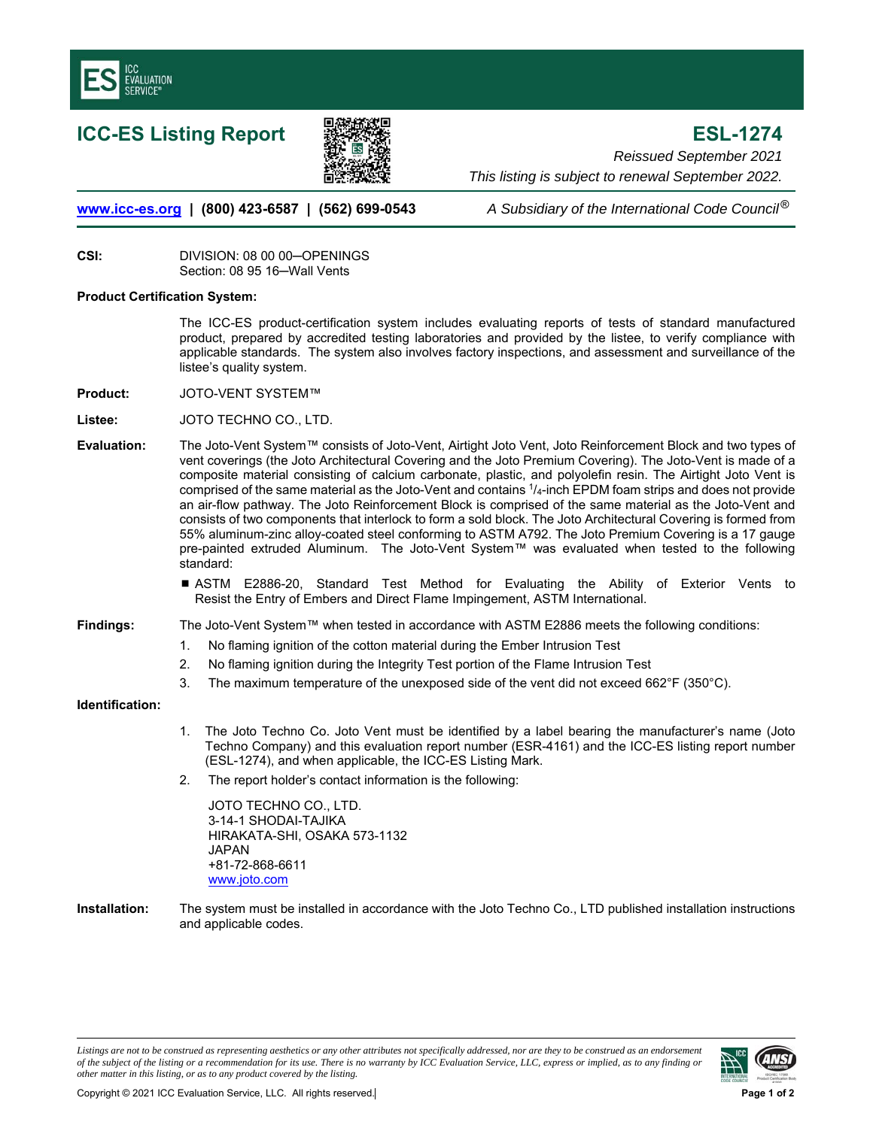



**ICC-ES Listing Report ESL-1274**  *Reissued September 2021 This listing is subject to renewal September 2022.* 

**www.icc-es.org | (800) 423-6587 | (562) 699-0543** *A Subsidiary of the International Code Council* ®

**CSI:** DIVISION: 08 00 00─OPENINGS Section: 08 95 16─Wall Vents

## **Product Certification System:**

The ICC-ES product-certification system includes evaluating reports of tests of standard manufactured product, prepared by accredited testing laboratories and provided by the listee, to verify compliance with applicable standards. The system also involves factory inspections, and assessment and surveillance of the listee's quality system.

**Product:** JOTO-VENT SYSTEM™

**Listee:** JOTO TECHNO CO., LTD.

- **Evaluation:** The Joto-Vent System™ consists of Joto-Vent, Airtight Joto Vent, Joto Reinforcement Block and two types of vent coverings (the Joto Architectural Covering and the Joto Premium Covering). The Joto-Vent is made of a composite material consisting of calcium carbonate, plastic, and polyolefin resin. The Airtight Joto Vent is comprised of the same material as the Joto-Vent and contains 1/4-inch EPDM foam strips and does not provide an air-flow pathway. The Joto Reinforcement Block is comprised of the same material as the Joto-Vent and consists of two components that interlock to form a sold block. The Joto Architectural Covering is formed from 55% aluminum-zinc alloy-coated steel conforming to ASTM A792. The Joto Premium Covering is a 17 gauge pre-painted extruded Aluminum. The Joto-Vent System™ was evaluated when tested to the following standard:
	- ASTM E2886-20, Standard Test Method for Evaluating the Ability of Exterior Vents to Resist the Entry of Embers and Direct Flame Impingement, ASTM International.
- **Findings:** The Joto-Vent System™ when tested in accordance with ASTM E2886 meets the following conditions:
	- 1. No flaming ignition of the cotton material during the Ember Intrusion Test
	- 2. No flaming ignition during the Integrity Test portion of the Flame Intrusion Test
	- 3. The maximum temperature of the unexposed side of the vent did not exceed 662°F (350°C).

## **Identification:**

- 1. The Joto Techno Co. Joto Vent must be identified by a label bearing the manufacturer's name (Joto Techno Company) and this evaluation report number (ESR-4161) and the ICC-ES listing report number (ESL-1274), and when applicable, the ICC-ES Listing Mark.
- 2. The report holder's contact information is the following:

JOTO TECHNO CO., LTD. 3-14-1 SHODAI-TAJIKA HIRAKATA-SHI, OSAKA 573-1132 JAPAN +81-72-868-6611 www.joto.com

**Installation:** The system must be installed in accordance with the Joto Techno Co., LTD published installation instructions and applicable codes.